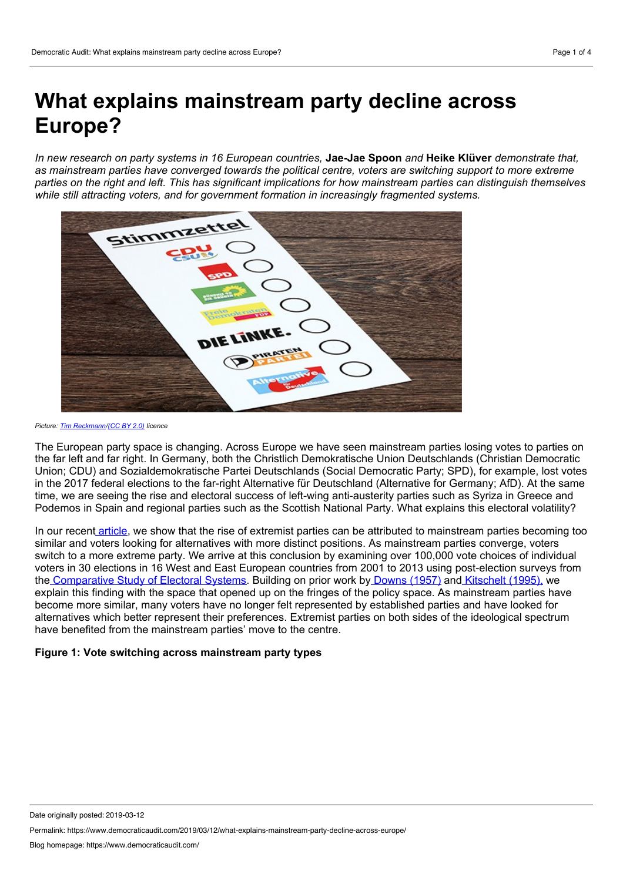# **What explains mainstream party decline across Europe?**

In new research on party systems in 16 European countries. Jae-Jae Spoon and Heike Klüver demonstrate that. *as mainstream parties have converged towards the political centre, voters are switching support to more extreme* parties on the right and left. This has significant implications for how mainstream parties can distinguish themselves *while still attracting voters, and for government formation in increasingly fragmented systems.*



*Picture: Tim [Reckmann](https://www.flickr.com/photos/foto_db/36251896276/in/photolist-XesrLq-TBYji4-VXYQpf-YLkXTe-YGEH9m-RkdC8H-Y6ByoV-QWv5hw-Xw5MsE-Yi3NBW-YGGrrj-YF843o-RkdC6D-VWRoYe-SyqcTH-RRiECM-XKFYvH-WV6ouc-YH5gWE-WkMmEU-T35VNQ-XpjPNW-VXYQwu-RP93mC-VQ1hyk-SvKKWC-XT8rMz-YH5g4N-RRHQtZ-SRRQ3U-QhvNpu-XJuwMr-VQ1huH-SiT7tk-Tq6UHh-Yz3WCC-XJuyW6-YKDFpx-VXYQrj-YRDt8y-BNii4Y-SUkb3g-YFunE1-X9siFg-XL2Fqb-Tq6EcU-BNhZ25-YFuoX1-YQJMrH-VFYmCA/)/[\(CC](https://creativecommons.org/licenses/by/2.0/) BY 2.0) licence*

The European party space is changing. Across Europe we have seen mainstream parties losing votes to parties on the far left and far right. In Germany, both the Christlich Demokratische Union Deutschlands (Christian Democratic Union; CDU) and Sozialdemokratische Partei Deutschlands (Social Democratic Party; SPD), for example, lost votes in the 2017 federal elections to the far-right Alternative für Deutschland (Alternative for Germany; AfD). At the same time, we are seeing the rise and electoral success of left-wing anti-austerity parties such as Syriza in Greece and Podemos in Spain and regional parties such as the Scottish National Party. What explains this electoral volatility?

In our recent [article,](https://onlinelibrary.wiley.com/doi/full/10.1111/1475-6765.12331) we show that the rise of extremist parties can be attributed to mainstream parties becoming too similar and voters looking for alternatives with more distinct positions. As mainstream parties converge, voters switch to a more extreme party. We arrive at this conclusion by examining over 100,000 vote choices of individual voters in 30 elections in 16 West and East European countries from 2001 to 2013 using post-election surveys from the [Comparative](https://cses.org/) Study of Electoral Systems. Building on prior work by [Downs](https://books.google.com/books?id=nIaKAQAACAAJ&dq=downs+economic+theory+of+democracy&hl=en&sa=X&ved=0ahUKEwjQzrXYmPDgAhXHmVkKHZxpAVUQ6AEILTAA) (1957) and [Kitschelt](https://books.google.com/books?hl=en&lr=&id=AZiD0rsmqO4C&oi=fnd&pg=PR7&dq=kitschelt+radical+right&ots=dJATeNAEM0&sig=5yAikfYrNSCofz7rsndafA2EyvY#v=onepage&q=kitschelt%20radical%20right&f=false) (1995), we explain this finding with the space that opened up on the fringes of the policy space. As mainstream parties have become more similar, many voters have no longer felt represented by established parties and have looked for alternatives which better represent their preferences. Extremist parties on both sides of the ideological spectrum have benefited from the mainstream parties' move to the centre.

## **Figure 1: Vote switching across mainstream party types**

Permalink: https://www.democraticaudit.com/2019/03/12/what-explains-mainstream-party-decline-across-europe/

Date originally posted: 2019-03-12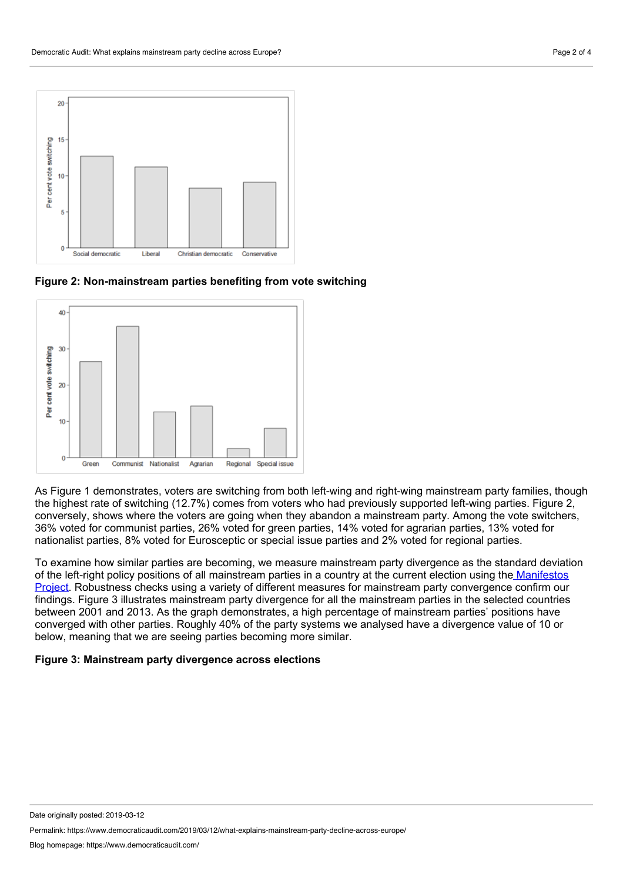

**Figure 2: Non-mainstream parties benefiting from vote switching**



As Figure 1 demonstrates, voters are switching from both left-wing and right-wing mainstream party families, though the highest rate of switching (12.7%) comes from voters who had previously supported left-wing parties. Figure 2, conversely, shows where the voters are going when they abandon a mainstream party. Among the vote switchers, 36% voted for communist parties, 26% voted for green parties, 14% voted for agrarian parties, 13% voted for nationalist parties, 8% voted for Eurosceptic or special issue parties and 2% voted for regional parties.

To examine how similar parties are becoming, we measure mainstream party divergence as the standard deviation of the left-right policy positions of all mainstream parties in a country at the current election using the Manifestos Project. Robustness checks using a variety of different measures for mainstream party [convergence](https://manifesto-project.wzb.eu/) confirm our findings. Figure 3 illustrates mainstream party divergence for all the mainstream parties in the selected countries between 2001 and 2013. As the graph demonstrates, a high percentage of mainstream parties' positions have converged with other parties. Roughly 40% of the party systems we analysed have a divergence value of 10 or below, meaning that we are seeing parties becoming more similar.

#### **Figure 3: Mainstream party divergence across elections**

Permalink: https://www.democraticaudit.com/2019/03/12/what-explains-mainstream-party-decline-across-europe/

Date originally posted: 2019-03-12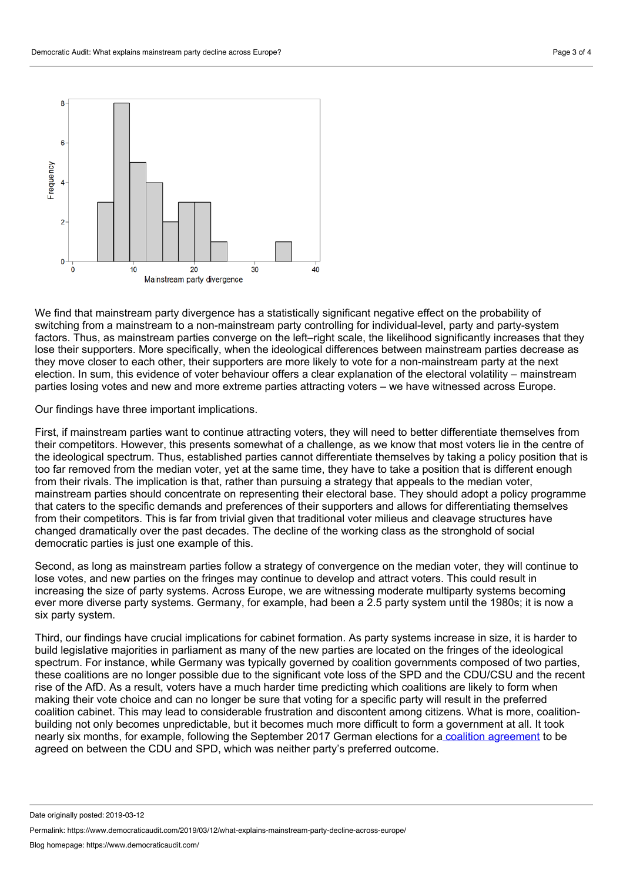

We find that mainstream party divergence has a statistically significant negative effect on the probability of switching from a mainstream to a non-mainstream party controlling for individual-level, party and party-system factors. Thus, as mainstream parties converge on the left–right scale, the likelihood significantly increases that they lose their supporters. More specifically, when the ideological differences between mainstream parties decrease as they move closer to each other, their supporters are more likely to vote for a non-mainstream party at the next election. In sum, this evidence of voter behaviour offers a clear explanation of the electoral volatility – mainstream parties losing votes and new and more extreme parties attracting voters – we have witnessed across Europe.

Our findings have three important implications.

First, if mainstream parties want to continue attracting voters, they will need to better differentiate themselves from their competitors. However, this presents somewhat of a challenge, as we know that most voters lie in the centre of the ideological spectrum. Thus, established parties cannot differentiate themselves by taking a policy position that is too far removed from the median voter, yet at the same time, they have to take a position that is different enough from their rivals. The implication is that, rather than pursuing a strategy that appeals to the median voter, mainstream parties should concentrate on representing their electoral base. They should adopt a policy programme that caters to the specific demands and preferences of their supporters and allows for differentiating themselves from their competitors. This is far from trivial given that traditional voter milieus and cleavage structures have changed dramatically over the past decades. The decline of the working class as the stronghold of social democratic parties is just one example of this.

Second, as long as mainstream parties follow a strategy of convergence on the median voter, they will continue to lose votes, and new parties on the fringes may continue to develop and attract voters. This could result in increasing the size of party systems. Across Europe, we are witnessing moderate multiparty systems becoming ever more diverse party systems. Germany, for example, had been a 2.5 party system until the 1980s; it is now a six party system.

Third, our findings have crucial implications for cabinet formation. As party systems increase in size, it is harder to build legislative majorities in parliament as many of the new parties are located on the fringes of the ideological spectrum. For instance, while Germany was typically governed by coalition governments composed of two parties, these coalitions are no longer possible due to the significant vote loss of the SPD and the CDU/CSU and the recent rise of the AfD. As a result, voters have a much harder time predicting which coalitions are likely to form when making their vote choice and can no longer be sure that voting for a specific party will result in the preferred coalition cabinet. This may lead to considerable frustration and discontent among citizens. What is more, coalition building not only becomes unpredictable, but it becomes much more difficult to form a government at all. It took nearly six months, for example, following the September 2017 German elections for a coalition [agreement](https://www.nytimes.com/2018/03/04/world/europe/germany-spd-merkel.html) to be agreed on between the CDU and SPD, which was neither party's preferred outcome.

Date originally posted: 2019-03-12

Permalink: https://www.democraticaudit.com/2019/03/12/what-explains-mainstream-party-decline-across-europe/